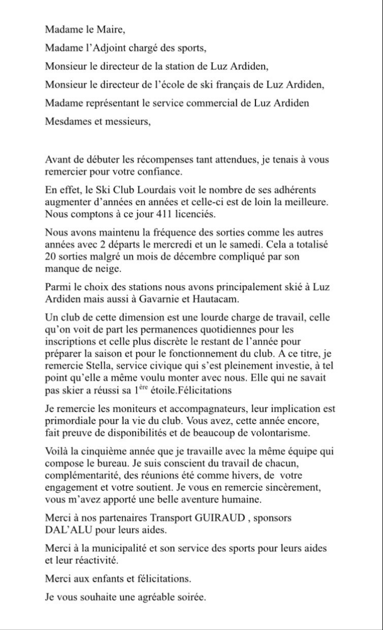Madame le Maire,

Madame l'Adjoint chargé des sports.

Monsieur le directeur de la station de Luz Ardiden,

Monsieur le directeur de l'école de ski français de Luz Ardiden,

Madame représentant le service commercial de Luz Ardiden

Mesdames et messieurs.

Avant de débuter les récompenses tant attendues, je tenais à vous remercier pour votre confiance.

En effet, le Ski Club Lourdais voit le nombre de ses adhérents augmenter d'années en années et celle-ci est de loin la meilleure. Nous comptons à ce jour 411 licenciés.

Nous avons maintenu la fréquence des sorties comme les autres années avec 2 départs le mercredi et un le samedi. Cela a totalisé 20 sorties malgré un mois de décembre compliqué par son manque de neige.

Parmi le choix des stations nous avons principalement skié à Luz Ardiden mais aussi à Gavarnie et Hautacam.

Un club de cette dimension est une lourde charge de travail, celle qu'on voit de part les permanences quotidiennes pour les inscriptions et celle plus discrète le restant de l'année pour préparer la saison et pour le fonctionnement du club. A ce titre, je remercie Stella, service civique qui s'est pleinement investie, à tel point qu'elle a même voulu monter avec nous. Elle qui ne savait pas skier a réussi sa 1<sup>ère</sup> étoile. Félicitations

Je remercie les moniteurs et accompagnateurs, leur implication est primordiale pour la vie du club. Vous avez, cette année encore, fait preuve de disponibilités et de beaucoup de volontarisme.

Voilà la cinquième année que je travaille avec la même équipe qui compose le bureau. Je suis conscient du travail de chacun, complémentarité, des réunions été comme hivers, de votre engagement et votre soutient. Je vous en remercie sincèrement, vous m'avez apporté une belle aventure humaine.

Merci à nos partenaires Transport GUIRAUD, sponsors DAL'ALU pour leurs aides.

Merci à la municipalité et son service des sports pour leurs aides et leur réactivité.

Merci aux enfants et félicitations.

Je vous souhaite une agréable soirée.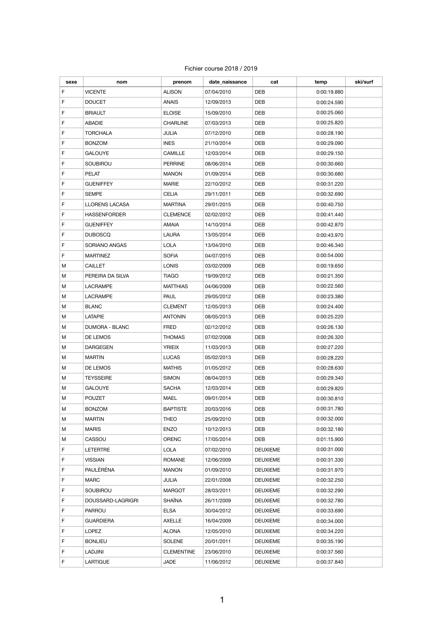## Fichier course 2018 / 2019

| sexe | nom                 | prenom            | date naissance | cat             | temp        | ski/surf |
|------|---------------------|-------------------|----------------|-----------------|-------------|----------|
| F    | <b>VICENTE</b>      | <b>ALISON</b>     | 07/04/2010     | DEB             | 0:00:19.880 |          |
| F    | <b>DOUCET</b>       | <b>ANAIS</b>      | 12/09/2013     | DEB             | 0:00:24.590 |          |
| F    | <b>BRIAULT</b>      | <b>ELOISE</b>     | 15/09/2010     | DEB             | 0:00:25.060 |          |
| F    | <b>ABADIE</b>       | <b>CHARLINE</b>   | 07/03/2013     | DEB             | 0:00:25.820 |          |
| F    | <b>TORCHALA</b>     | JULIA             | 07/12/2010     | DEB             | 0:00:28.190 |          |
| F    | <b>BONZOM</b>       | <b>INES</b>       | 21/10/2014     | DEB             | 0:00:29.090 |          |
| F    | <b>GALOUYE</b>      | CAMILLE           | 12/03/2014     | DEB             | 0:00:29.150 |          |
| F    | <b>SOUBIROU</b>     | <b>PERRINE</b>    | 08/06/2014     | DEB             | 0:00:30.660 |          |
| F    | PELAT               | <b>MANON</b>      | 01/09/2014     | DEB             | 0:00:30.680 |          |
| F    | <b>GUENIFFEY</b>    | <b>MARIE</b>      | 22/10/2012     | DEB             | 0:00:31.220 |          |
| F    | <b>SEMPE</b>        | CELIA             | 29/11/2011     | DEB             | 0:00:32.690 |          |
| F    | LLORENS LACASA      | <b>MARTINA</b>    | 29/01/2015     | DEB             | 0:00:40.750 |          |
| F    | <b>HASSENFORDER</b> | <b>CLEMENCE</b>   | 02/02/2012     | DEB             | 0:00:41.440 |          |
| F    | <b>GUENIFFEY</b>    | <b>AMAIA</b>      | 14/10/2014     | DEB             | 0:00:42.870 |          |
| F    | <b>DUBOSCQ</b>      | LAURA             | 13/05/2014     | DEB             | 0:00:43.970 |          |
| F    | SORIANO ANGAS       | <b>LOLA</b>       | 13/04/2010     | DEB             | 0:00:46.340 |          |
| F    | <b>MARTINEZ</b>     | SOFIA             | 04/07/2015     | DEB             | 0:00:54.000 |          |
| м    | <b>CAILLET</b>      | <b>LONIS</b>      | 03/02/2009     | DEB             | 0:00:19.650 |          |
| м    | PEREIRA DA SILVA    | <b>TIAGO</b>      | 19/09/2012     | DEB             | 0:00:21.350 |          |
| м    | <b>LACRAMPE</b>     | <b>MATTHIAS</b>   | 04/06/2009     | DEB             | 0:00:22.560 |          |
| м    | LACRAMPE            | PAUL              | 29/05/2012     | DEB             | 0:00:23.380 |          |
| м    | <b>BLANC</b>        | <b>CLEMENT</b>    | 12/05/2013     | DEB             | 0:00:24.400 |          |
| M    | <b>LATAPIE</b>      | <b>ANTONIN</b>    | 08/05/2013     | DEB             | 0:00:25.220 |          |
| M    | DUMORA - BLANC      | FRED              | 02/12/2012     | DEB             | 0:00:26.130 |          |
| м    | DE LEMOS            | <b>THOMAS</b>     | 07/02/2008     | DEB             | 0:00:26.320 |          |
| м    | <b>DARGEGEN</b>     | <b>YRIEIX</b>     | 11/03/2013     | DEB             | 0:00:27.220 |          |
| M    | <b>MARTIN</b>       | <b>LUCAS</b>      | 05/02/2013     | DEB             | 0:00:28.220 |          |
| м    | DE LEMOS            | <b>MATHIS</b>     | 01/05/2012     | DEB             | 0:00:28.630 |          |
| м    | <b>TEYSSEIRE</b>    | SIMON             | 08/04/2013     | DEB             | 0:00:29.340 |          |
| м    | <b>GALOUYE</b>      | SACHA             | 12/03/2014     | DEB             | 0:00:29.820 |          |
| м    | <b>POUZET</b>       | MAEL              | 09/01/2014     | DEB             | 0:00:30.810 |          |
| M    | <b>BONZOM</b>       | <b>BAPTISTE</b>   | 20/03/2016     | DEB             | 0:00:31.780 |          |
| м    | <b>MARTIN</b>       | THEO              | 25/09/2010     | DEB             | 0:00:32.000 |          |
| М    | <b>MARIS</b>        | <b>ENZO</b>       | 10/12/2013     | DEB             | 0:00:32.180 |          |
| М    | CASSOU              | ORENC             | 17/05/2014     | DEB             | 0:01:15.900 |          |
| F.   | LETERTRE            | <b>LOLA</b>       | 07/02/2010     | <b>DEUXIEME</b> | 0:00:31.000 |          |
| F    | <b>VISSIAN</b>      | <b>ROMANE</b>     | 12/06/2009     | <b>DEUXIEME</b> | 0:00:31.330 |          |
| F    | PAULÉRÉNA           | <b>MANON</b>      | 01/09/2010     | <b>DEUXIEME</b> | 0:00:31.970 |          |
| F    | MARC                | JULIA             | 22/01/2008     | <b>DEUXIEME</b> | 0:00:32.250 |          |
| F    | SOUBIROU            | MARGOT            | 28/03/2011     | DEUXIEME        | 0:00:32.290 |          |
| F    | DOUSSARD-LAGRIGRI   | SHAÏNA            | 26/11/2009     | <b>DEUXIEME</b> | 0:00:32.780 |          |
| F    | <b>PARROU</b>       | <b>ELSA</b>       | 30/04/2012     | <b>DEUXIEME</b> | 0:00:33.690 |          |
| F    | <b>GUARDIERA</b>    | AXELLE            | 16/04/2009     | <b>DEUXIEME</b> | 0:00:34.000 |          |
| F    | LOPEZ               | ALONA             | 12/05/2010     | <b>DEUXIEME</b> | 0:00:34.220 |          |
| F    | <b>BONLIEU</b>      | SOLENE            | 20/01/2011     | <b>DEUXIEME</b> | 0:00:35.190 |          |
| F    | LADJINI             | <b>CLEMENTINE</b> | 23/06/2010     | <b>DEUXIEME</b> | 0:00:37.560 |          |
| F    | LARTIGUE            | JADE              | 11/06/2012     | <b>DEUXIEME</b> | 0:00:37.840 |          |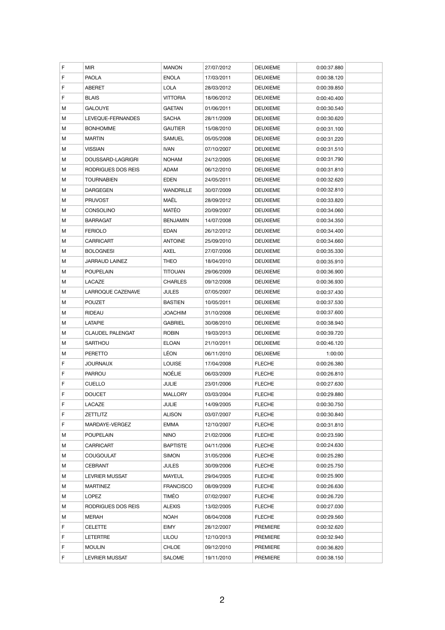| F | MIR                     | <b>MANON</b>     | 27/07/2012 | <b>DEUXIEME</b> | 0:00:37.880 |  |
|---|-------------------------|------------------|------------|-----------------|-------------|--|
| F | <b>PAOLA</b>            | <b>ENOLA</b>     | 17/03/2011 | <b>DEUXIEME</b> | 0:00:38.120 |  |
| F | <b>ABERET</b>           | LOLA             | 28/03/2012 | <b>DEUXIEME</b> | 0:00:39.850 |  |
| F | <b>BLAIS</b>            | <b>VITTORIA</b>  | 18/06/2012 | <b>DEUXIEME</b> | 0:00:40.400 |  |
| М | <b>GALOUYE</b>          | <b>GAETAN</b>    | 01/06/2011 | <b>DEUXIEME</b> | 0:00:30.540 |  |
| М | LEVEQUE-FERNANDES       | <b>SACHA</b>     | 28/11/2009 | <b>DEUXIEME</b> | 0:00:30.620 |  |
| М | <b>BONHOMME</b>         | <b>GAUTIER</b>   | 15/08/2010 | <b>DEUXIEME</b> | 0:00:31.100 |  |
| М | <b>MARTIN</b>           | SAMUEL           | 05/05/2008 | <b>DEUXIEME</b> | 0:00:31.220 |  |
| М | <b>VISSIAN</b>          | <b>IVAN</b>      | 07/10/2007 | <b>DEUXIEME</b> | 0:00:31.510 |  |
| М | DOUSSARD-LAGRIGRI       | <b>NOHAM</b>     | 24/12/2005 | <b>DEUXIEME</b> | 0:00:31.790 |  |
| М | RODRIGUES DOS REIS      | ADAM             | 06/12/2010 | <b>DEUXIEME</b> | 0:00:31.810 |  |
| М | <b>TOURNABIEN</b>       | EDEN             | 24/05/2011 | <b>DEUXIEME</b> | 0:00:32.620 |  |
| М | <b>DARGEGEN</b>         | <b>WANDRILLE</b> | 30/07/2009 | <b>DEUXIEME</b> | 0:00:32.810 |  |
| М | <b>PRUVOST</b>          | MAËL             | 28/09/2012 | <b>DEUXIEME</b> | 0:00:33.820 |  |
| М | <b>CONSOLINO</b>        | MATÉO            | 20/09/2007 | <b>DEUXIEME</b> | 0:00:34.060 |  |
| М | <b>BARRAGAT</b>         | <b>BENJAMIN</b>  | 14/07/2008 | <b>DEUXIEME</b> | 0:00:34.350 |  |
| Μ | <b>FERIOLO</b>          | EDAN             | 26/12/2012 | <b>DEUXIEME</b> | 0:00:34.400 |  |
| М | CARRICART               | <b>ANTOINE</b>   | 25/09/2010 | <b>DEUXIEME</b> | 0:00:34.660 |  |
| М | <b>BOLOGNESI</b>        | AXEL             | 27/07/2006 | <b>DEUXIEME</b> | 0:00:35.330 |  |
| Μ | JARRAUD LAINEZ          | THEO             | 18/04/2010 | <b>DEUXIEME</b> | 0:00:35.910 |  |
| М | <b>POUPELAIN</b>        | <b>TITOUAN</b>   | 29/06/2009 | <b>DEUXIEME</b> | 0:00:36.900 |  |
| М | LACAZE                  | <b>CHARLES</b>   | 09/12/2008 | <b>DEUXIEME</b> | 0:00:36.930 |  |
| М | LARROQUE CAZENAVE       | JULES            | 07/05/2007 | <b>DEUXIEME</b> | 0:00:37.430 |  |
| М | <b>POUZET</b>           | <b>BASTIEN</b>   | 10/05/2011 | <b>DEUXIEME</b> | 0:00:37.530 |  |
| М | RIDEAU                  | <b>JOACHIM</b>   | 31/10/2008 | <b>DEUXIEME</b> | 0:00:37.600 |  |
| М | LATAPIE                 | <b>GABRIEL</b>   | 30/08/2010 | <b>DEUXIEME</b> | 0:00:38.940 |  |
| Μ | <b>CLAUDEL PALENGAT</b> | <b>ROBIN</b>     | 19/03/2013 | <b>DEUXIEME</b> | 0:00:39.720 |  |
| М | SARTHOU                 | <b>ELOAN</b>     | 21/10/2011 | <b>DEUXIEME</b> | 0:00:46.120 |  |
| Μ | PERETTO                 | LÉON             | 06/11/2010 | <b>DEUXIEME</b> | 1:00:00     |  |
| F | JOURNAUX                | <b>LOUISE</b>    | 17/04/2008 | <b>FLECHE</b>   | 0:00:26.380 |  |
| F | <b>PARROU</b>           | <b>NOĖLIE</b>    | 06/03/2009 | <b>FLECHE</b>   | 0:00:26.810 |  |
| F | <b>CUELLO</b>           | JULIE            | 23/01/2006 | <b>FLECHE</b>   | 0:00:27.630 |  |
| F | <b>DOUCET</b>           | MALLORY          | 03/03/2004 | <b>FLECHE</b>   | 0:00:29.880 |  |
| F | LACAZE                  | JULIE            | 14/09/2005 | <b>FLECHE</b>   | 0:00:30.750 |  |
| F | ZETTLITZ                | <b>ALISON</b>    | 03/07/2007 | <b>FLECHE</b>   | 0:00:30.840 |  |
| F | MARDAYE-VERGEZ          | EMMA             | 12/10/2007 | <b>FLECHE</b>   | 0:00:31.810 |  |
| M | POUPELAIN               | <b>NINO</b>      | 21/02/2006 | <b>FLECHE</b>   | 0:00:23.590 |  |
| М | CARRICART               | <b>BAPTISTE</b>  | 04/11/2006 | <b>FLECHE</b>   | 0:00:24.630 |  |
| М | <b>COUGOULAT</b>        | <b>SIMON</b>     | 31/05/2006 | <b>FLECHE</b>   | 0:00:25.280 |  |
| Μ | CEBRANT                 | JULES            | 30/09/2006 | <b>FLECHE</b>   | 0:00:25.750 |  |
| Μ | <b>LEVRIER MUSSAT</b>   | MAYEUL           | 29/04/2005 | <b>FLECHE</b>   | 0:00:25.900 |  |
| M | MARTINEZ                | <b>FRANCISCO</b> | 08/09/2009 | <b>FLECHE</b>   | 0:00:26.630 |  |
| М | LOPEZ                   | TIMÉO            | 07/02/2007 | <b>FLECHE</b>   | 0:00:26.720 |  |
| Μ | RODRIGUES DOS REIS      | ALEXIS           | 13/02/2005 | <b>FLECHE</b>   | 0:00:27.030 |  |
| М | MERAH                   | NOAH             | 08/04/2008 | <b>FLECHE</b>   | 0:00:29.560 |  |
| F | <b>CELETTE</b>          | EIMY             | 28/12/2007 | PREMIERE        | 0:00:32.620 |  |
| F | LETERTRE                | LILOU            | 12/10/2013 | <b>PREMIERE</b> | 0:00:32.940 |  |
| F | MOULIN                  | CHLOE            | 09/12/2010 | PREMIERE        | 0:00:36.820 |  |
| F | <b>LEVRIER MUSSAT</b>   | SALOME           | 19/11/2010 | PREMIERE        | 0:00:38.150 |  |